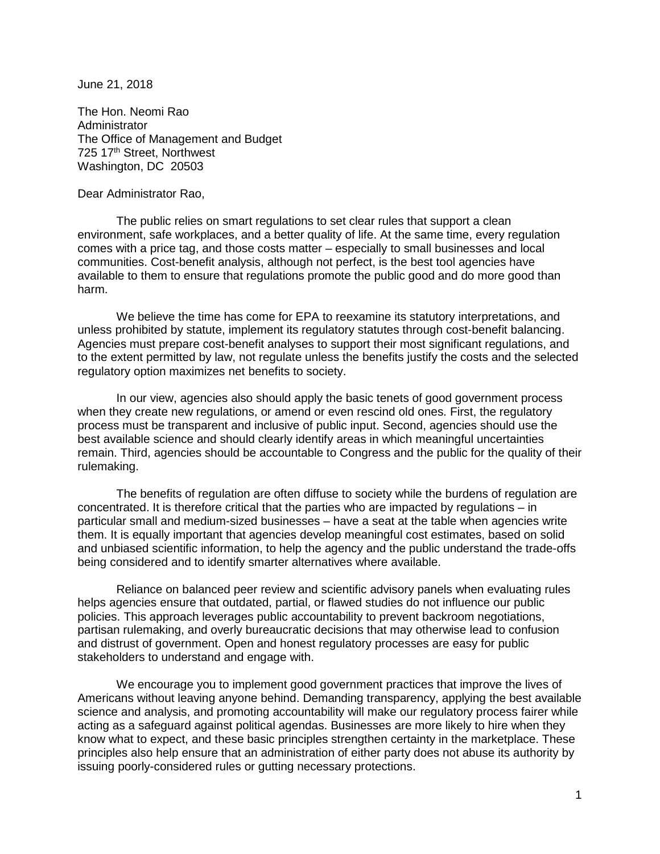June 21, 2018

The Hon. Neomi Rao **Administrator** The Office of Management and Budget 725 17<sup>th</sup> Street, Northwest Washington, DC 20503

Dear Administrator Rao,

The public relies on smart regulations to set clear rules that support a clean environment, safe workplaces, and a better quality of life. At the same time, every regulation comes with a price tag, and those costs matter – especially to small businesses and local communities. Cost-benefit analysis, although not perfect, is the best tool agencies have available to them to ensure that regulations promote the public good and do more good than harm.

We believe the time has come for EPA to reexamine its statutory interpretations, and unless prohibited by statute, implement its regulatory statutes through cost-benefit balancing. Agencies must prepare cost-benefit analyses to support their most significant regulations, and to the extent permitted by law, not regulate unless the benefits justify the costs and the selected regulatory option maximizes net benefits to society.

In our view, agencies also should apply the basic tenets of good government process when they create new regulations, or amend or even rescind old ones. First, the regulatory process must be transparent and inclusive of public input. Second, agencies should use the best available science and should clearly identify areas in which meaningful uncertainties remain. Third, agencies should be accountable to Congress and the public for the quality of their rulemaking.

The benefits of regulation are often diffuse to society while the burdens of regulation are concentrated. It is therefore critical that the parties who are impacted by regulations – in particular small and medium-sized businesses – have a seat at the table when agencies write them. It is equally important that agencies develop meaningful cost estimates, based on solid and unbiased scientific information, to help the agency and the public understand the trade-offs being considered and to identify smarter alternatives where available.

Reliance on balanced peer review and scientific advisory panels when evaluating rules helps agencies ensure that outdated, partial, or flawed studies do not influence our public policies. This approach leverages public accountability to prevent backroom negotiations, partisan rulemaking, and overly bureaucratic decisions that may otherwise lead to confusion and distrust of government. Open and honest regulatory processes are easy for public stakeholders to understand and engage with.

We encourage you to implement good government practices that improve the lives of Americans without leaving anyone behind. Demanding transparency, applying the best available science and analysis, and promoting accountability will make our regulatory process fairer while acting as a safeguard against political agendas. Businesses are more likely to hire when they know what to expect, and these basic principles strengthen certainty in the marketplace. These principles also help ensure that an administration of either party does not abuse its authority by issuing poorly-considered rules or gutting necessary protections.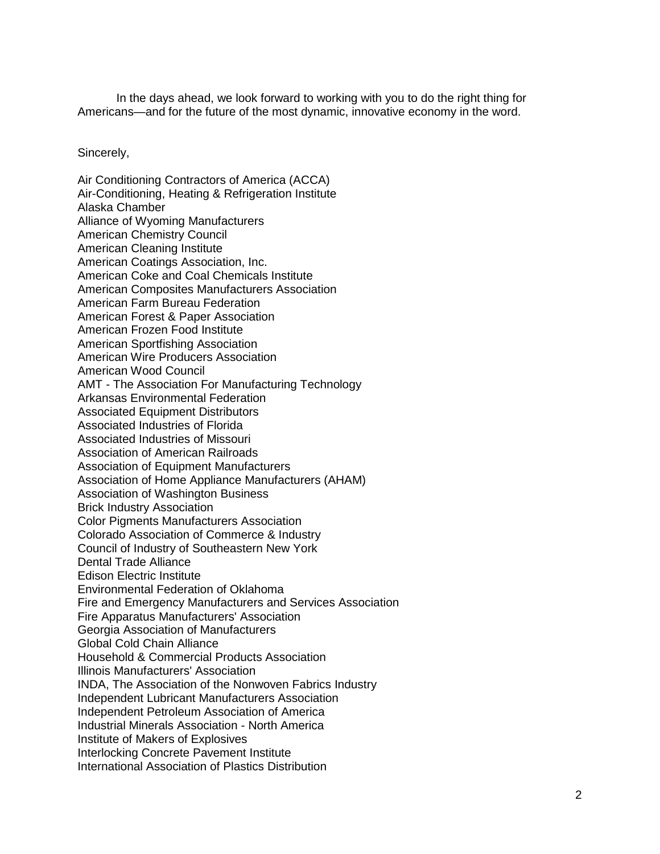In the days ahead, we look forward to working with you to do the right thing for Americans—and for the future of the most dynamic, innovative economy in the word.

Sincerely,

Air Conditioning Contractors of America (ACCA) Air-Conditioning, Heating & Refrigeration Institute Alaska Chamber Alliance of Wyoming Manufacturers American Chemistry Council American Cleaning Institute American Coatings Association, Inc. American Coke and Coal Chemicals Institute American Composites Manufacturers Association American Farm Bureau Federation American Forest & Paper Association American Frozen Food Institute American Sportfishing Association American Wire Producers Association American Wood Council AMT - The Association For Manufacturing Technology Arkansas Environmental Federation Associated Equipment Distributors Associated Industries of Florida Associated Industries of Missouri Association of American Railroads Association of Equipment Manufacturers Association of Home Appliance Manufacturers (AHAM) Association of Washington Business Brick Industry Association Color Pigments Manufacturers Association Colorado Association of Commerce & Industry Council of Industry of Southeastern New York Dental Trade Alliance Edison Electric Institute Environmental Federation of Oklahoma Fire and Emergency Manufacturers and Services Association Fire Apparatus Manufacturers' Association Georgia Association of Manufacturers Global Cold Chain Alliance Household & Commercial Products Association Illinois Manufacturers' Association INDA, The Association of the Nonwoven Fabrics Industry Independent Lubricant Manufacturers Association Independent Petroleum Association of America Industrial Minerals Association - North America Institute of Makers of Explosives Interlocking Concrete Pavement Institute International Association of Plastics Distribution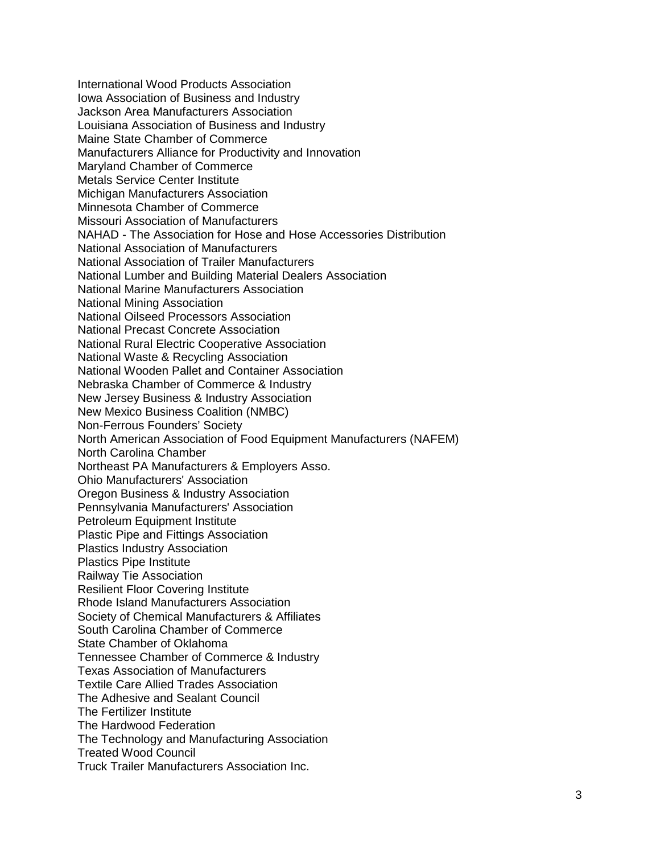International Wood Products Association Iowa Association of Business and Industry Jackson Area Manufacturers Association Louisiana Association of Business and Industry Maine State Chamber of Commerce Manufacturers Alliance for Productivity and Innovation Maryland Chamber of Commerce Metals Service Center Institute Michigan Manufacturers Association Minnesota Chamber of Commerce Missouri Association of Manufacturers NAHAD - The Association for Hose and Hose Accessories Distribution National Association of Manufacturers National Association of Trailer Manufacturers National Lumber and Building Material Dealers Association National Marine Manufacturers Association National Mining Association National Oilseed Processors Association National Precast Concrete Association National Rural Electric Cooperative Association National Waste & Recycling Association National Wooden Pallet and Container Association Nebraska Chamber of Commerce & Industry New Jersey Business & Industry Association New Mexico Business Coalition (NMBC) Non-Ferrous Founders' Society North American Association of Food Equipment Manufacturers (NAFEM) North Carolina Chamber Northeast PA Manufacturers & Employers Asso. Ohio Manufacturers' Association Oregon Business & Industry Association Pennsylvania Manufacturers' Association Petroleum Equipment Institute Plastic Pipe and Fittings Association Plastics Industry Association Plastics Pipe Institute Railway Tie Association Resilient Floor Covering Institute Rhode Island Manufacturers Association Society of Chemical Manufacturers & Affiliates South Carolina Chamber of Commerce State Chamber of Oklahoma Tennessee Chamber of Commerce & Industry Texas Association of Manufacturers Textile Care Allied Trades Association The Adhesive and Sealant Council The Fertilizer Institute The Hardwood Federation The Technology and Manufacturing Association Treated Wood Council Truck Trailer Manufacturers Association Inc.